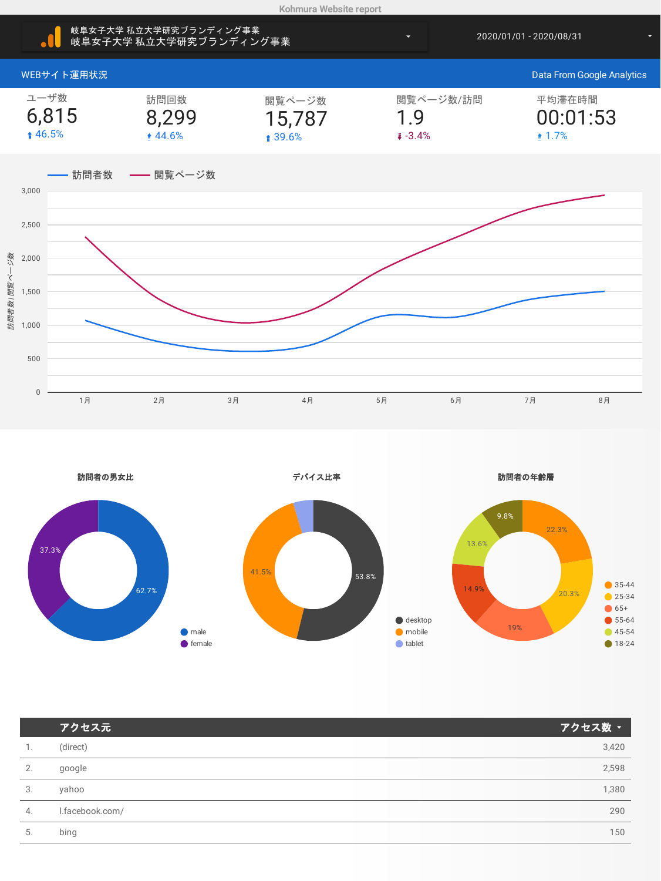



| アクセス元           | アクセス数 ▼ |
|-----------------|---------|
| (direct)        | 3,420   |
| google          | 2,598   |
| yahoo           | 1,380   |
| l.facebook.com/ | 290     |
| bing            | 150     |
|                 |         |